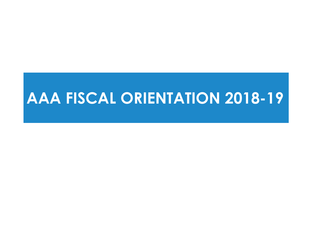# **AAA FISCAL ORIENTATION 2018-19**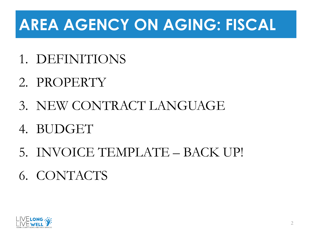# **AREA AGENCY ON AGING: FISCAL**

- 1. DEFINITIONS
- 2. PROPERTY
- 3. NEW CONTRACT LANGUAGE
- 4. BUDGET
- 5. INVOICE TEMPLATE BACK UP!
- 6. CONTACTS

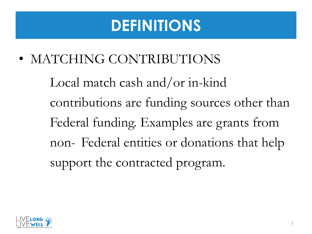• MATCHING CONTRIBUTIONS

Local match cash and/or in-kind contributions are funding sources other than Federal funding. Examples are grants from non- Federal entities or donations that help support the contracted program.

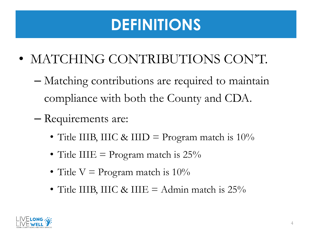- MATCHING CONTRIBUTIONS CON'T.
	- Matching contributions are required to maintain compliance with both the County and CDA.
	- Requirements are:
		- Title IIIB, IIIC & IIID = Program match is  $10\%$
		- Title IIIE = Program match is  $25\%$
		- Title  $V = Program$  match is  $10\%$
		- Title IIIB, IIIC & IIIE = Admin match is  $25\%$

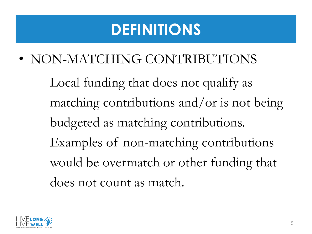• NON-MATCHING CONTRIBUTIONS

Local funding that does not qualify as matching contributions and/or is not being budgeted as matching contributions. Examples of non-matching contributions would be overmatch or other funding that does not count as match.

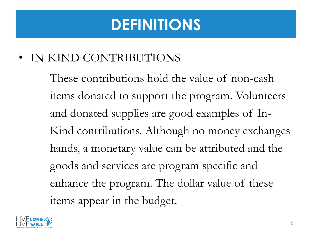#### • IN-KIND CONTRIBUTIONS

These contributions hold the value of non-cash items donated to support the program. Volunteers and donated supplies are good examples of In-Kind contributions. Although no money exchanges hands, a monetary value can be attributed and the goods and services are program specific and enhance the program. The dollar value of these items appear in the budget.

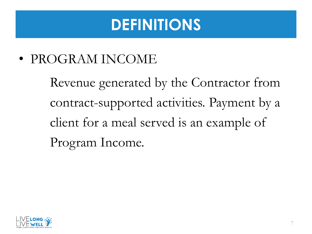• PROGRAM INCOME

Revenue generated by the Contractor from contract-supported activities. Payment by a client for a meal served is an example of Program Income.

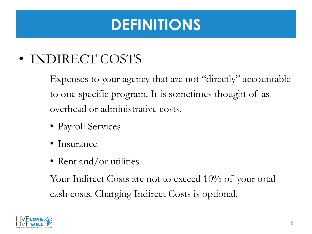#### • INDIRECT COSTS

Expenses to your agency that are not "directly" accountable to one specific program. It is sometimes thought of as overhead or administrative costs.

- Payroll Services
- Insurance
- Rent and/or utilities

Your Indirect Costs are not to exceed 10% of your total cash costs. Charging Indirect Costs is optional.

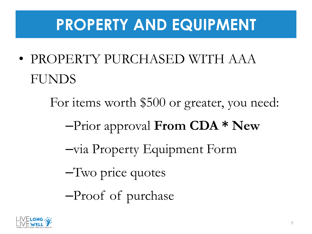## **PROPERTY AND EQUIPMENT**

- PROPERTY PURCHASED WITH AAA FUNDS
	- For items worth \$500 or greater, you need:
		- –Prior approval **From CDA \* New**
		- –via Property Equipment Form
		- –Two price quotes
		- –Proof of purchase

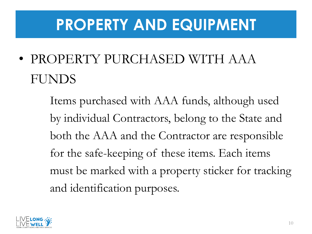#### **PROPERTY AND EQUIPMENT**

• PROPERTY PURCHASED WITH AAA FUNDS

> Items purchased with AAA funds, although used by individual Contractors, belong to the State and both the AAA and the Contractor are responsible for the safe-keeping of these items. Each items must be marked with a property sticker for tracking and identification purposes.

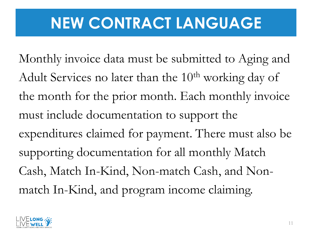# **NEW CONTRACT LANGUAGE**

Monthly invoice data must be submitted to Aging and Adult Services no later than the  $10<sup>th</sup>$  working day of the month for the prior month. Each monthly invoice must include documentation to support the expenditures claimed for payment. There must also be supporting documentation for all monthly Match Cash, Match In-Kind, Non-match Cash, and Nonmatch In-Kind, and program income claiming.

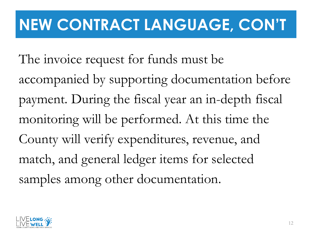# **NEW CONTRACT LANGUAGE, CON'T**

The invoice request for funds must be accompanied by supporting documentation before payment. During the fiscal year an in-depth fiscal monitoring will be performed. At this time the County will verify expenditures, revenue, and match, and general ledger items for selected samples among other documentation.

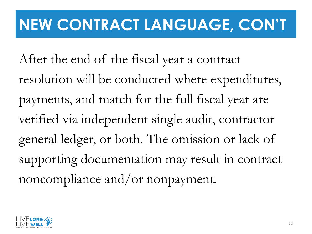# **NEW CONTRACT LANGUAGE, CON'T**

After the end of the fiscal year a contract resolution will be conducted where expenditures, payments, and match for the full fiscal year are verified via independent single audit, contractor general ledger, or both. The omission or lack of supporting documentation may result in contract noncompliance and/or nonpayment.

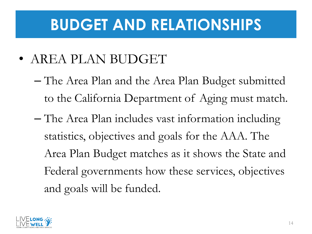#### **BUDGET AND RELATIONSHIPS**

- AREA PLAN BUDGET
	- The Area Plan and the Area Plan Budget submitted to the California Department of Aging must match.
	- The Area Plan includes vast information including statistics, objectives and goals for the AAA. The Area Plan Budget matches as it shows the State and Federal governments how these services, objectives and goals will be funded.

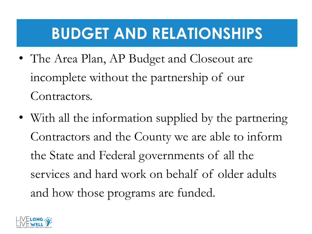# **BUDGET AND RELATIONSHIPS**

- The Area Plan, AP Budget and Closeout are incomplete without the partnership of our Contractors.
- With all the information supplied by the partnering Contractors and the County we are able to inform the State and Federal governments of all the services and hard work on behalf of older adults and how those programs are funded.

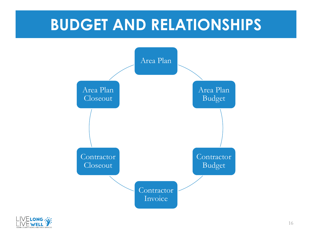#### **BUDGET AND RELATIONSHIPS**



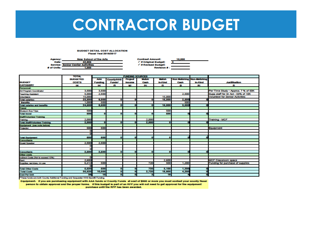#### **CONTRACTOR BUDGET**

#### **BUDGET DETAIL COST ALLOCATION Ficoal Yeal 2016/2017**

| Agenoy:     | New School of the Arts                   | <b>Contract Amount:</b> | 10,000 |
|-------------|------------------------------------------|-------------------------|--------|
| Dato:       | 42,806                                   | √ If Original Budget:   |        |
|             | <b>Service: Senior Center Activities</b> | √ If Revised Budget:    |        |
| # of Units: | 1.000                                    | <b>Revision #:</b>      |        |

|                                                   | <b>TOTAL</b>    |                |                   | <b>FUNDING SOURCES</b> |              |                |       |                           |                                        |
|---------------------------------------------------|-----------------|----------------|-------------------|------------------------|--------------|----------------|-------|---------------------------|----------------------------------------|
|                                                   | <b>BUDGETED</b> | <b>AAA</b>     | <b>County/HHS</b> | <b>Project</b>         | <b>Matoh</b> | <b>Matoh</b>   |       | Non Matching Non-Matching |                                        |
| <b>BUDGET</b>                                     | <b>COSTS</b>    | <b>Funding</b> | Funde*            | <b>Income</b>          | Cash         | <b>In-Kind</b> | Cash  | In-Kind                   | <b>Justmoation</b>                     |
| CATOGERY<br>Personnel:<br>Art Program Coordinator | $\blacksquare$  | 60             | m                 | des b                  | (h)          | $\sigma$       | m     | CK3                       |                                        |
|                                                   |                 |                |                   |                        |              |                |       |                           |                                        |
|                                                   | 3,500           | 3,500          |                   |                        |              |                |       |                           | Per Time Study - Approx. 7 % of SOK    |
| <b>Teaching Assistant</b>                         | 5,000           | 2,500          |                   |                        |              |                | 2,500 |                           | Supp staff for Sr Act - 50% of 10K     |
| Volunteers                                        | 15,000          |                |                   |                        |              | 15,000         |       |                           | <b>Volunteer for Senior Activities</b> |
| <b>Total salaries:</b>                            | 23,500          | 6,000          | ٠                 | $\mathbf{0}$           |              | 16,000         | 2,500 |                           |                                        |
| <b>Benefits</b>                                   | 1,000           | 500            |                   |                        |              |                | 500   |                           |                                        |
| <b>Total salaries and benefits</b>                | 24,500          | 6,500          | $\bullet$         | ō                      |              | 15,000         | 3,000 |                           |                                        |
| Travel                                            |                 |                |                   |                        |              |                |       |                           |                                        |
| Museum Bus Trips                                  | 500             |                |                   |                        |              | 500            |       |                           |                                        |
| <b>Total travel</b>                               | 600             | о              |                   |                        |              | 600            |       |                           |                                        |
| <b>Staff/Volunteer Training</b><br>Training       |                 |                |                   |                        |              |                |       |                           |                                        |
|                                                   | 2,000           |                |                   |                        | 2,000        |                |       |                           | <b>Training - MCF</b>                  |
| <b>Total Staff/Volunteer Training</b>             | 2,000           | $\bullet$      | $\bullet$         | $\overline{0}$         | 2,000        | ۰              |       |                           |                                        |
| Equipment (see note below)                        |                 |                |                   |                        |              |                |       |                           |                                        |
| Projector                                         | 500             | 500            |                   |                        |              |                |       |                           | Equipment                              |
|                                                   | o               |                |                   |                        |              |                |       |                           |                                        |
|                                                   | п               |                |                   |                        |              |                |       |                           |                                        |
| <b>Total Equipment</b>                            | 500             | 500            |                   | $\bf{0}$               |              |                |       |                           |                                        |
| Consultants                                       |                 |                |                   |                        |              |                |       |                           |                                        |
| <b>Guest Speaker</b>                              | 2,500           | 2,500          |                   |                        |              |                |       |                           |                                        |
|                                                   |                 |                |                   |                        |              |                |       |                           |                                        |
|                                                   |                 |                |                   |                        |              |                |       |                           |                                        |
|                                                   | 2,600           | 2,600          | $\bullet$         | $\bf{0}$               |              |                |       |                           |                                        |
| Consultants<br>Other costs                        |                 |                |                   |                        |              |                |       |                           |                                        |
| Indirect Costs (Not to exceed 10%)                |                 |                |                   |                        |              |                |       |                           |                                        |
| manuel Cosa pice arease.<br>Rent                  | 2,600           |                |                   |                        |              | 2,600          |       |                           | <b>MCF Classroom space</b>             |
|                                                   | 6,412           | 500            |                   |                        | 720          | 500            | 1,200 |                           | Funding for purchase of supplies       |
|                                                   | n               |                |                   |                        |              |                |       |                           |                                        |
| <b>Total Other Costs</b>                          | 5,520           | 600            | ٥                 | $\Omega$               | 720          | 3,100          | 1,200 |                           |                                        |
| <b>Total Costs</b>                                | 35,520          | 10,000         | ۰                 | $\overline{0}$         | 2,720        | 18,600         | 4,200 |                           |                                        |
| Cost Per Unit                                     | 38              | 10             | $\bullet$         | ō                      |              | 19             |       |                           |                                        |

"These funds are both County Additional Funding and Sequester HHS Backfil Funding.

Equipment- If you are purchasing equipment with AAA funds or County Funds at cost of \$300 or more you must contact your county fiscal person to obtain approval and the proper forms. If this budget is part of an RFP you will not need to get approval for the equipment

purchase until the RFP has been awarded.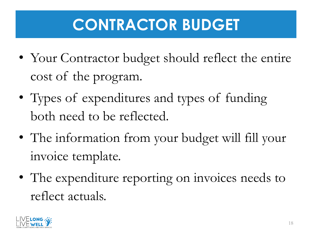# **CONTRACTOR BUDGET**

- Your Contractor budget should reflect the entire cost of the program.
- Types of expenditures and types of funding both need to be reflected.
- The information from your budget will fill your invoice template.
- The expenditure reporting on invoices needs to reflect actuals.

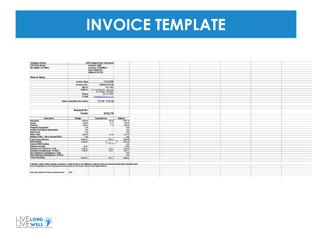#### **INVOICE TEMPLATE**

| <b>Helping Home</b>                                                                                                         |                               | <b>IIIB Supportive Services</b> |          |  |  |  |
|-----------------------------------------------------------------------------------------------------------------------------|-------------------------------|---------------------------------|----------|--|--|--|
| 1234 Main Street                                                                                                            |                               | Vendor#1000                     |          |  |  |  |
| San Rafael, CA 94901                                                                                                        |                               | Contract #31900015              |          |  |  |  |
|                                                                                                                             |                               | Org# 28041441<br>Object# 522710 |          |  |  |  |
|                                                                                                                             |                               |                                 |          |  |  |  |
|                                                                                                                             |                               |                                 |          |  |  |  |
| Area on Aging                                                                                                               |                               |                                 |          |  |  |  |
|                                                                                                                             |                               |                                 |          |  |  |  |
|                                                                                                                             | <b>Invoice Date</b>           | 7/31/2018                       |          |  |  |  |
|                                                                                                                             | Invoice No.                   | C001507/18                      |          |  |  |  |
|                                                                                                                             | <b>Bill To</b>                | Any Dietz                       |          |  |  |  |
|                                                                                                                             | Address                       | 10 N. San Pedro Rd., Suite 1022 |          |  |  |  |
|                                                                                                                             |                               | San Rafael, CA 94903            |          |  |  |  |
|                                                                                                                             | Phone                         | 415-473-7491                    |          |  |  |  |
|                                                                                                                             | E-Mail                        | adjetz@marinonunty.org          |          |  |  |  |
|                                                                                                                             |                               |                                 |          |  |  |  |
|                                                                                                                             | Dates covered by this invoice | $7/1/18 - 7/31/18$              |          |  |  |  |
|                                                                                                                             |                               |                                 |          |  |  |  |
|                                                                                                                             |                               |                                 |          |  |  |  |
|                                                                                                                             |                               |                                 |          |  |  |  |
|                                                                                                                             | <b>Request for</b>            |                                 |          |  |  |  |
|                                                                                                                             | <b>Funds</b>                  | \$422.78                        |          |  |  |  |
|                                                                                                                             |                               |                                 |          |  |  |  |
| <b>Description</b>                                                                                                          | <b>Budget</b>                 | <b>Expenditures</b>             | Balance  |  |  |  |
| Personnel                                                                                                                   | 0.000.00                      | 526.25                          | 6473.76  |  |  |  |
| Travel                                                                                                                      | 1,000.00                      | 45.78                           | 864.22   |  |  |  |
| Training                                                                                                                    | 1.000.00                      | 0.00                            | 1,000.00 |  |  |  |
| Property/Equipment<br>Vendor/Consultant Agreements                                                                          | 0.00                          |                                 | 0.00     |  |  |  |
|                                                                                                                             | 0.00                          |                                 | 0.00     |  |  |  |
| <b>Food Costs</b>                                                                                                           | 0.00                          |                                 | 0.00     |  |  |  |
| <b>Other Costs</b>                                                                                                          | 2,000.00                      | 128.08                          | 1,871.92 |  |  |  |
| Indirect Costs - Not to exceed 10%                                                                                          | 0.00                          |                                 | 0.00     |  |  |  |
| <b>Total Expenditures</b>                                                                                                   | 10,000.00                     | 700.11                          | 8,299.89 |  |  |  |
| AAA Funding                                                                                                                 | 6,000.00                      | 42278                           | 4,677.22 |  |  |  |
| County/HHS Funding                                                                                                          | $\overline{\phantom{a}}$      |                                 | 0.00     |  |  |  |
| Program Income                                                                                                              | 60.00                         | $\overline{\phantom{a}}$        | 60.00    |  |  |  |
| Matching Contributions- Cash                                                                                                | 3,600.00                      | 196.50                          | 3,343.60 |  |  |  |
| Matching Contributions - In-Kind                                                                                            | 1,460.00                      | 120.83                          | 1,228.17 |  |  |  |
| Non-Matching Contributions Cash<br>Non-Matching Contributions In Kind                                                       | $\sim$                        |                                 | 0.00     |  |  |  |
|                                                                                                                             | $\sim$                        |                                 | 0.00     |  |  |  |
| <b>Total Funding</b>                                                                                                        | 10,000.00                     | 700.11                          | 8,298.89 |  |  |  |
|                                                                                                                             |                               |                                 |          |  |  |  |
| I hereby certify under penalty of per jury, under the laws of California, that the services invoiced have been rendered and |                               |                                 |          |  |  |  |
| that our organization is infull compilance with the provisions of the County of Marin Living Wage Ordinance.                |                               |                                 |          |  |  |  |
|                                                                                                                             |                               |                                 |          |  |  |  |
|                                                                                                                             |                               |                                 |          |  |  |  |
| Authorized Sprature of Person preparing report                                                                              | Date                          |                                 |          |  |  |  |
|                                                                                                                             |                               |                                 |          |  |  |  |
|                                                                                                                             |                               |                                 |          |  |  |  |

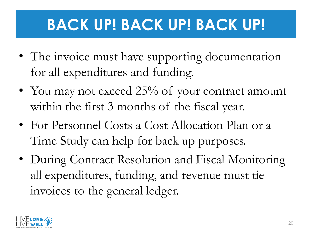# **BACK UP! BACK UP! BACK UP!**

- The invoice must have supporting documentation for all expenditures and funding.
- You may not exceed 25% of your contract amount within the first 3 months of the fiscal year.
- For Personnel Costs a Cost Allocation Plan or a Time Study can help for back up purposes.
- During Contract Resolution and Fiscal Monitoring all expenditures, funding, and revenue must tie invoices to the general ledger.

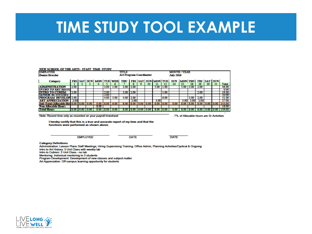#### **TIME STUDY TOOL EXAMPLE**

| <b>EMPLOYEE</b><br><b>Denise Dressler</b>                                                                                    |      |                |                 |      |      |                    | TITLE<br><b>Art Program Coordinator</b>                               |             |             |                     |              |       | <b>July 2016</b> | <b>MONTH / YEAR</b>                     |       |             |    |      |                                           |
|------------------------------------------------------------------------------------------------------------------------------|------|----------------|-----------------|------|------|--------------------|-----------------------------------------------------------------------|-------------|-------------|---------------------|--------------|-------|------------------|-----------------------------------------|-------|-------------|----|------|-------------------------------------------|
| Category                                                                                                                     |      |                |                 |      |      |                    | FRI SAT SUN MON TUE WED THU FRI SAT SUN MONTUE SUN MONTHU FRI SAT SUN |             |             |                     |              |       |                  |                                         |       |             |    |      |                                           |
|                                                                                                                              |      | $\overline{2}$ | 3.              | 4    | 5    | 6                  | 7                                                                     | я           | ۰           | 10 <sup>°</sup>     | $\mathbf{u}$ | 12    | 24               | 25                                      | 28    | 20          | 30 | 31   | <b>Total</b>                              |
| <b>ADMINISTRATION</b>                                                                                                        | 200  |                |                 |      | 2.00 | 1.00               | 2.00                                                                  | 2.00        |             |                     | 5.00         | 11.00 |                  | 5.00                                    | 13.00 | 2.00        |    |      | 46.00                                     |
| INTRO TO ART HISTU                                                                                                           |      |                |                 |      |      |                    |                                                                       |             |             |                     |              |       |                  |                                         |       |             |    |      | 0.00                                      |
| IRO TO CUBISM                                                                                                                | 2.00 |                |                 |      | 2.00 |                    |                                                                       | 2.00 2.00   |             |                     |              | 1.00  |                  |                                         |       | 2.00        |    |      | 19.00                                     |
| <b>SENIOR ACTIVITIES</b>                                                                                                     |      |                |                 |      | 2.00 |                    |                                                                       |             |             |                     |              |       |                  |                                         |       |             |    |      | 10.00                                     |
| <b>PROGRAM DEVELOP 2.00</b>                                                                                                  |      |                |                 |      | 4.00 | 5.00               | 4.00                                                                  | 2.00        |             |                     |              | 6.00  |                  |                                         | 3.00  | 2.00        |    |      | 51.00                                     |
| <b>ART APPRECIATION</b>                                                                                                      | 2.00 |                |                 |      |      |                    |                                                                       | 2.00        |             |                     | 3.00         |       |                  | 3.00                                    | 2.00  | 2.00        |    |      | 27.00                                     |
| Sub-Total (Allocable Hot 8.00 0.00                                                                                           |      |                | 0.00            | 0.00 | 8.00 | 6.00               | 8.00                                                                  | 8.00        | $0.00$ 0.00 |                     | 8.00         | 8.00  | 0.00             | 8.00                                    | 8.00  | 8.00   0.00 |    | 0.00 | 143.00                                    |
| <b>Non-Allocable Hours</b>                                                                                                   |      |                |                 | 8.00 |      |                    |                                                                       |             |             |                     |              |       |                  |                                         |       |             |    |      | 16.00                                     |
| <b>Total Hours</b>                                                                                                           |      | 8.00 0.00 0.00 |                 |      |      | 8.00   8.00   6.00 |                                                                       |             |             | 8.00 8.00 0.00 0.00 | 8.00 18.00   |       | 0.00             |                                         |       |             |    |      | 8.00   8.00   8.00   0.00   0.00   159.00 |
|                                                                                                                              |      |                |                 |      |      |                    |                                                                       |             |             |                     |              |       |                  | 7% of Allocable hours are Sr Activities |       |             |    |      |                                           |
| I hereby certify that this is a true and accurate report of my time and that the<br>functions were performed as shown above. |      |                |                 |      |      |                    |                                                                       |             |             |                     |              |       |                  |                                         |       |             |    |      |                                           |
| Note: Record time only as recorded on your payroll timesheet                                                                 |      |                | <b>EMPLOYEE</b> |      |      |                    |                                                                       | <b>DATE</b> |             |                     |              |       | <b>DATE</b>      |                                         |       |             |    |      |                                           |

Art Appreciation: Off-campus learning opportunity for students

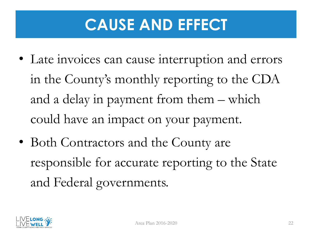# **CAUSE AND EFFECT**

- Late invoices can cause interruption and errors in the County's monthly reporting to the CDA and a delay in payment from them – which could have an impact on your payment.
- Both Contractors and the County are responsible for accurate reporting to the State and Federal governments.